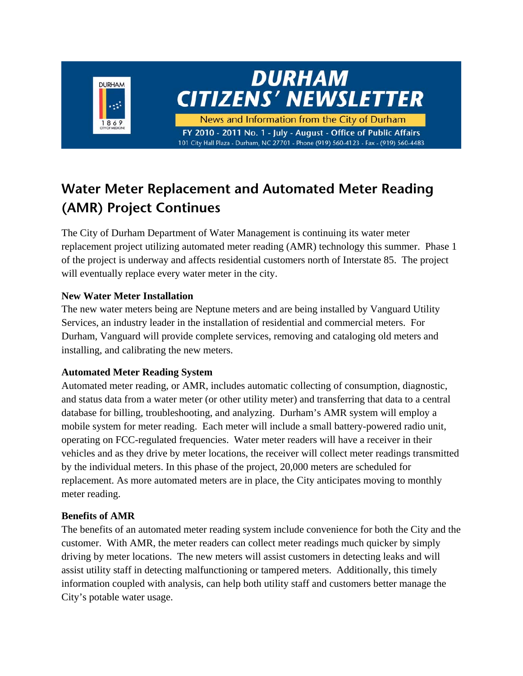

## **Water Meter Replacement and Automated Meter Reading (AMR) Project Continues**

The City of Durham Department of Water Management is continuing its water meter replacement project utilizing automated meter reading (AMR) technology this summer. Phase 1 of the project is underway and affects residential customers north of Interstate 85. The project will eventually replace every water meter in the city.

#### **New Water Meter Installation**

The new water meters being are Neptune meters and are being installed by Vanguard Utility Services, an industry leader in the installation of residential and commercial meters. For Durham, Vanguard will provide complete services, removing and cataloging old meters and installing, and calibrating the new meters.

#### **Automated Meter Reading System**

Automated meter reading, or AMR, includes automatic collecting of consumption, diagnostic, and status data from a water meter (or other utility meter) and transferring that data to a central database for billing, troubleshooting, and analyzing. Durham's AMR system will employ a mobile system for meter reading. Each meter will include a small battery-powered radio unit, operating on FCC-regulated frequencies. Water meter readers will have a receiver in their vehicles and as they drive by meter locations, the receiver will collect meter readings transmitted by the individual meters. In this phase of the project, 20,000 meters are scheduled for replacement. As more automated meters are in place, the City anticipates moving to monthly meter reading.

#### **Benefits of AMR**

The benefits of an automated meter reading system include convenience for both the City and the customer. With AMR, the meter readers can collect meter readings much quicker by simply driving by meter locations. The new meters will assist customers in detecting leaks and will assist utility staff in detecting malfunctioning or tampered meters. Additionally, this timely information coupled with analysis, can help both utility staff and customers better manage the City's potable water usage.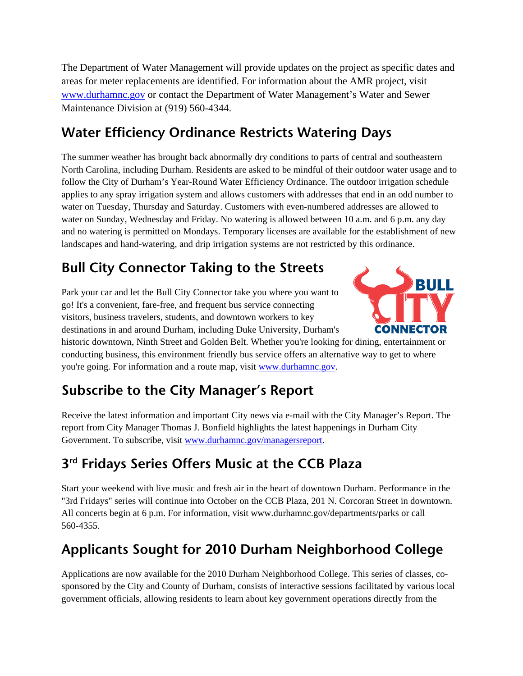The Department of Water Management will provide updates on the project as specific dates and areas for meter replacements are identified. For information about the AMR project, visit www.durhamnc.gov or contact the Department of Water Management's Water and Sewer Maintenance Division at (919) 560-4344.

## **Water Efficiency Ordinance Restricts Watering Days**

The summer weather has brought back abnormally dry conditions to parts of central and southeastern North Carolina, including Durham. Residents are asked to be mindful of their outdoor water usage and to follow the City of Durham's Year-Round Water Efficiency Ordinance. The outdoor irrigation schedule applies to any spray irrigation system and allows customers with addresses that end in an odd number to water on Tuesday, Thursday and Saturday. Customers with even-numbered addresses are allowed to water on Sunday, Wednesday and Friday. No watering is allowed between 10 a.m. and 6 p.m. any day and no watering is permitted on Mondays. Temporary licenses are available for the establishment of new landscapes and hand-watering, and drip irrigation systems are not restricted by this ordinance.

# **Bull City Connector Taking to the Streets**

Park your car and let the Bull City Connector take you where you want to go! It's a convenient, fare-free, and frequent bus service connecting visitors, business travelers, students, and downtown workers to key destinations in and around Durham, including Duke University, Durham's



historic downtown, Ninth Street and Golden Belt. Whether you're looking for dining, entertainment or conducting business, this environment friendly bus service offers an alternative way to get to where you're going. For information and a route map, visit www.durhamnc.gov.

## **Subscribe to the City Manager's Report**

Receive the latest information and important City news via e-mail with the City Manager's Report. The report from City Manager Thomas J. Bonfield highlights the latest happenings in Durham City Government. To subscribe, visit www.durhamnc.gov/managersreport.

## **3rd Fridays Series Offers Music at the CCB Plaza**

Start your weekend with live music and fresh air in the heart of downtown Durham. Performance in the "3rd Fridays" series will continue into October on the CCB Plaza, 201 N. Corcoran Street in downtown. All concerts begin at 6 p.m. For information, visit www.durhamnc.gov/departments/parks or call 560-4355.

## **Applicants Sought for 2010 Durham Neighborhood College**

Applications are now available for the 2010 Durham Neighborhood College. This series of classes, cosponsored by the City and County of Durham, consists of interactive sessions facilitated by various local government officials, allowing residents to learn about key government operations directly from the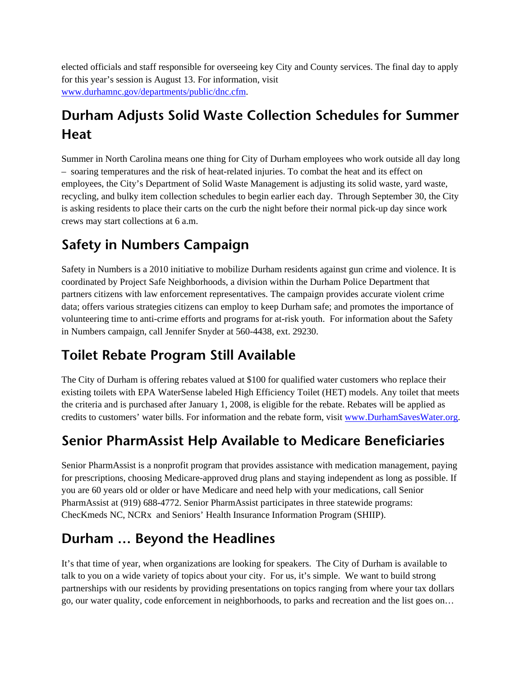elected officials and staff responsible for overseeing key City and County services. The final day to apply for this year's session is August 13. For information, visit www.durhamnc.gov/departments/public/dnc.cfm.

# **Durham Adjusts Solid Waste Collection Schedules for Summer Heat**

Summer in North Carolina means one thing for City of Durham employees who work outside all day long – soaring temperatures and the risk of heat-related injuries. To combat the heat and its effect on employees, the City's Department of Solid Waste Management is adjusting its solid waste, yard waste, recycling, and bulky item collection schedules to begin earlier each day. Through September 30, the City is asking residents to place their carts on the curb the night before their normal pick-up day since work crews may start collections at 6 a.m.

#### **Safety in Numbers Campaign**

Safety in Numbers is a 2010 initiative to mobilize Durham residents against gun crime and violence. It is coordinated by Project Safe Neighborhoods, a division within the Durham Police Department that partners citizens with law enforcement representatives. The campaign provides accurate violent crime data; offers various strategies citizens can employ to keep Durham safe; and promotes the importance of volunteering time to anti-crime efforts and programs for at-risk youth. For information about the Safety in Numbers campaign, call Jennifer Snyder at 560-4438, ext. 29230.

## **Toilet Rebate Program Still Available**

The City of Durham is offering rebates valued at \$100 for qualified water customers who replace their existing toilets with EPA WaterSense labeled High Efficiency Toilet (HET) models. Any toilet that meets the criteria and is purchased after January 1, 2008, is eligible for the rebate. Rebates will be applied as credits to customers' water bills. For information and the rebate form, visit www.DurhamSavesWater.org.

## **Senior PharmAssist Help Available to Medicare Beneficiaries**

Senior PharmAssist is a nonprofit program that provides assistance with medication management, paying for prescriptions, choosing Medicare-approved drug plans and staying independent as long as possible. If you are 60 years old or older or have Medicare and need help with your medications, call Senior PharmAssist at (919) 688-4772. Senior PharmAssist participates in three statewide programs: ChecKmeds NC, NCRx and Seniors' Health Insurance Information Program (SHIIP).

## **Durham … Beyond the Headlines**

It's that time of year, when organizations are looking for speakers. The City of Durham is available to talk to you on a wide variety of topics about your city. For us, it's simple. We want to build strong partnerships with our residents by providing presentations on topics ranging from where your tax dollars go, our water quality, code enforcement in neighborhoods, to parks and recreation and the list goes on…